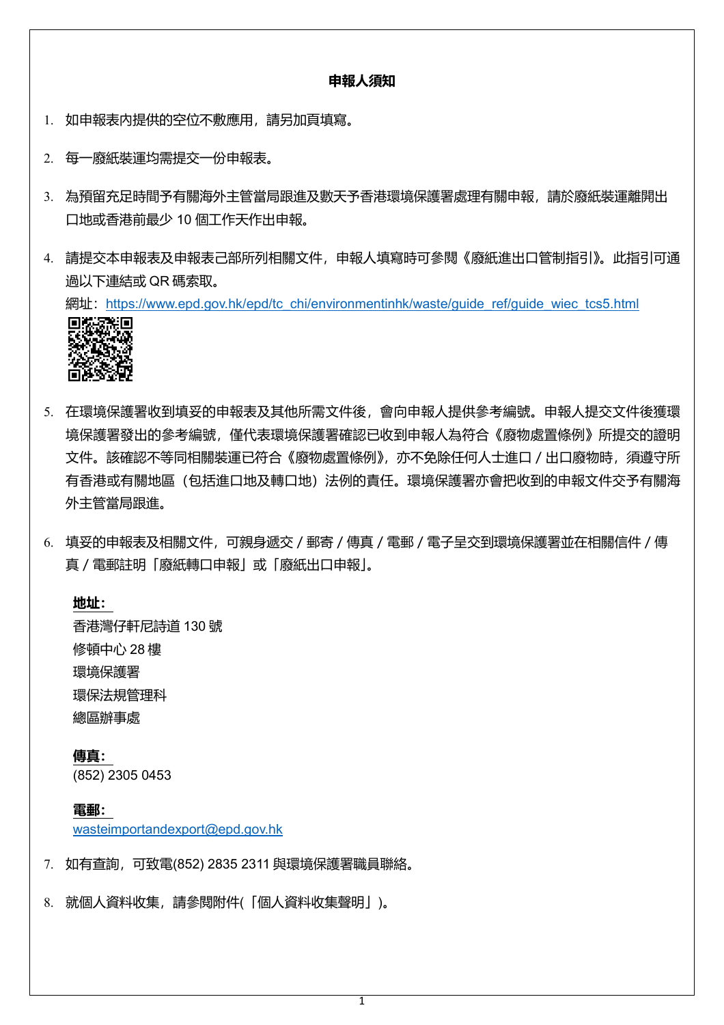### **申報人須知**

- 1. 如申報表內提供的空位不敷應用,請另加頁填寫。
- 2. 每一廢紙裝運均需提交一份申報表。
- 3. 為預留充足時間予有關海外主管當局跟進及數天予香港環境保護署處理有關申報,請於廢紙裝運離開出 口地或香港前最少 10 個工作天作出申報。
- 4. 請提交本申報表及申報表己部所列相關文件,申報人填寫時可參閱《廢紙進出口管制指引》。此指引可通 過以下連結或 QR 碼索取。

網址:https://www.epd.gov.hk/epd/tc\_chi/environmentinhk/waste/guide\_ref/guide\_wiec\_tcs5.html



- 5. 在環境保護署收到填妥的申報表及其他所需文件後,會向申報人提供參考編號。申報人提交文件後獲環 境保護署發出的參考編號,僅代表環境保護署確認已收到申報人為符合《廢物處置條例》所提交的證明 文件。該確認不等同相關裝運已符合《廢物處置條例》,亦不免除任何人士進口/出口廢物時,須遵守所 有香港或有關地區(包括進口地及轉口地)法例的責任。環境保護署亦會把收到的申報文件交予有關海 外主管當局跟進。
- 6. 填妥的申報表及相關文件,可親身遞交/郵寄/傳真/電郵/電子呈交到環境保護署並在相關信件/傳 真/電郵註明「廢紙轉口申報」或「廢紙出口申報」。

**地址:** 香港灣仔軒尼詩道 130 號 修頓中心 28 樓 環境保護署

環保法規管理科

總區辦事處

**傳真:** (852) 2305 0453

**電郵:** [wasteimportandexport@epd.gov.hk](mailto:wasteimportandexport@epd.gov.hk)

- 7. 如有查詢,可致電(852) 2835 2311 與環境保護署職員聯絡。
- 8. 就個人資料收集,請參閱附件(「個人資料收集聲明」)。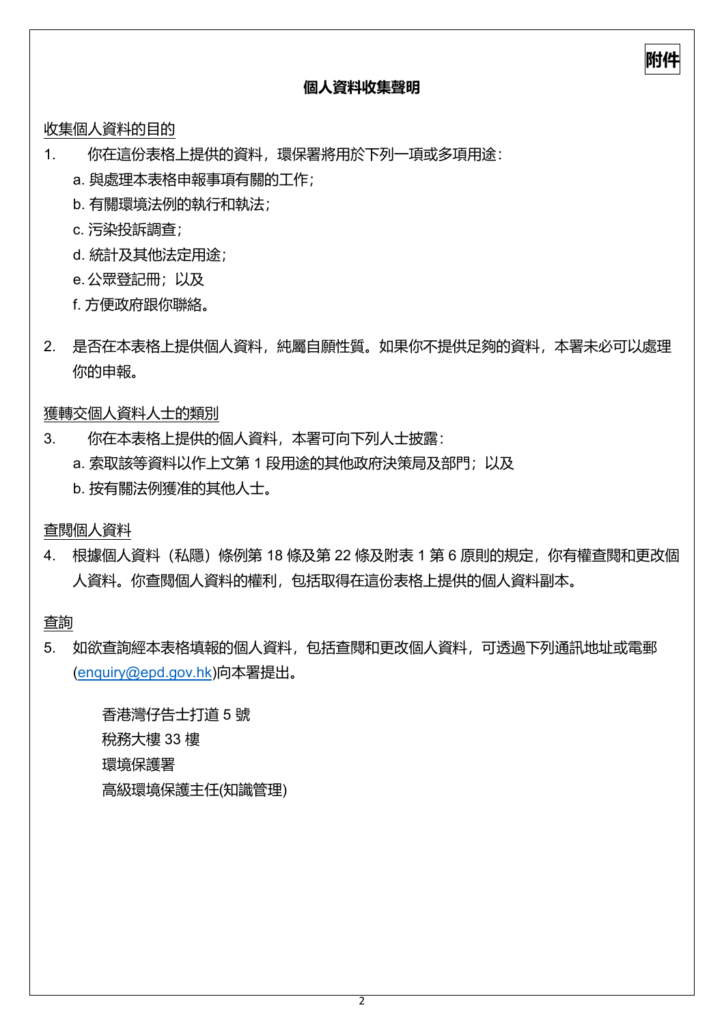# **個人資料收集聲明**

**附件**

收集個人資料的目的

- 1. 你在這份表格上提供的資料,環保署將用於下列一項或多項用途:
	- a. 與處理本表格申報事項有關的工作;
	- b. 有關環境法例的執行和執法;
	- c. 污染投訴調查;
	- d. 統計及其他法定用途;
	- e.公眾登記冊;以及
	- f. 方便政府跟你聯絡。
- 2. 是否在本表格上提供個人資料,純屬自願性質。如果你不提供足夠的資料,本署未必可以處理 你的申報。

獲轉交個人資料人士的類別

- 3. 你在本表格上提供的個人資料,本署可向下列人士披露:
	- a. 索取該等資料以作上文第 1 段用途的其他政府決策局及部門;以及
	- b. 按有關法例獲准的其他人士。

查閱個人資料

4. 根據個人資料(私隱)條例第 18 條及第 22 條及附表 1 第 6 原則的規定,你有權查閱和更改個 人資料。你查閱個人資料的權利,包括取得在這份表格上提供的個人資料副本。

查詢

5. 如欲查詢經本表格填報的個人資料,包括查閱和更改個人資料,可透過下列通訊地址或電郵 [\(enquiry@epd.gov.hk\)](mailto:enquiry@epd.gov.hk)向本署提出。

香港灣仔告士打道 5 號 稅務大樓 33 樓 環境保護署 高級環境保護主任(知識管理)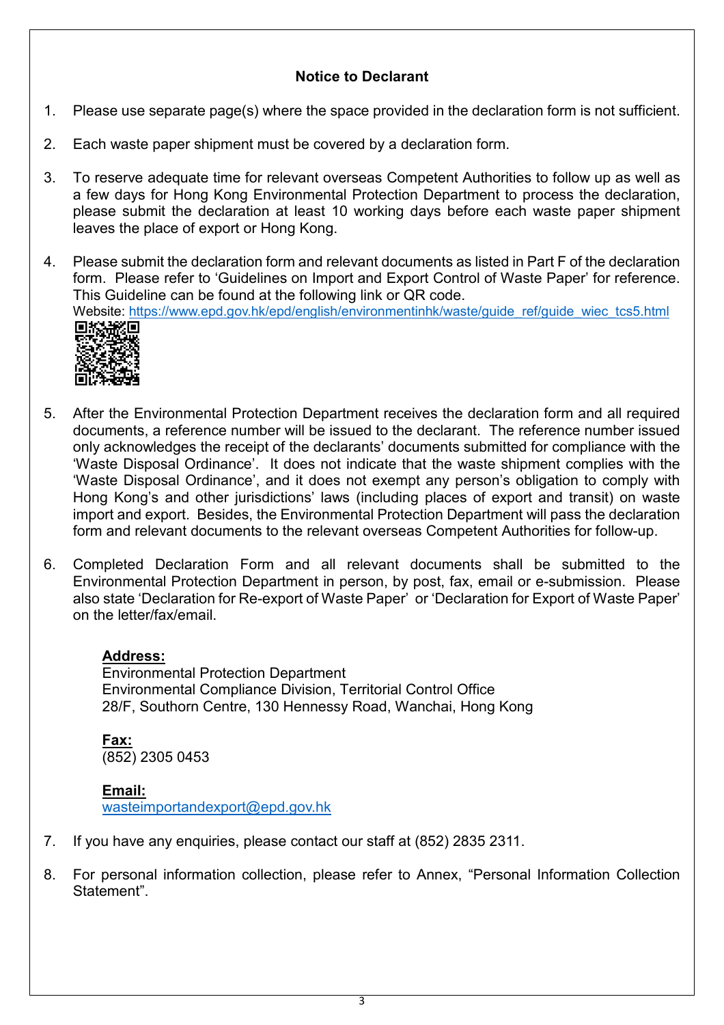# **Notice to Declarant**

- 1. Please use separate page(s) where the space provided in the declaration form is not sufficient.
- 2. Each waste paper shipment must be covered by a declaration form.
- 3. To reserve adequate time for relevant overseas Competent Authorities to follow up as well as a few days for Hong Kong Environmental Protection Department to process the declaration, please submit the declaration at least 10 working days before each waste paper shipment leaves the place of export or Hong Kong.
- 4. Please submit the declaration form and relevant documents as listed in Part F of the declaration form. Please refer to 'Guidelines on Import and Export Control of Waste Paper' for reference. This Guideline can be found at the following link or QR code. Website: https://www.epd.gov.hk/epd/english/environmentinhk/waste/guide\_ref/guide\_wiec\_tcs5.html<br>□#☆#☆回



- 5. After the Environmental Protection Department receives the declaration form and all required documents, a reference number will be issued to the declarant. The reference number issued only acknowledges the receipt of the declarants' documents submitted for compliance with the 'Waste Disposal Ordinance'. It does not indicate that the waste shipment complies with the 'Waste Disposal Ordinance', and it does not exempt any person's obligation to comply with Hong Kong's and other jurisdictions' laws (including places of export and transit) on waste import and export. Besides, the Environmental Protection Department will pass the declaration form and relevant documents to the relevant overseas Competent Authorities for follow-up.
- 6. Completed Declaration Form and all relevant documents shall be submitted to the Environmental Protection Department in person, by post, fax, email or e-submission. Please also state 'Declaration for Re-export of Waste Paper' or 'Declaration for Export of Waste Paper' on the letter/fax/email.

# **Address:**

Environmental Protection Department Environmental Compliance Division, Territorial Control Office 28/F, Southorn Centre, 130 Hennessy Road, Wanchai, Hong Kong

**Fax:** (852) 2305 0453

### **Email:**

[wasteimportandexport@epd.gov.hk](mailto:wasteimportandexport@epd.gov.hk)

- 7. If you have any enquiries, please contact our staff at (852) 2835 2311.
- 8. For personal information collection, please refer to Annex, "Personal Information Collection Statement".